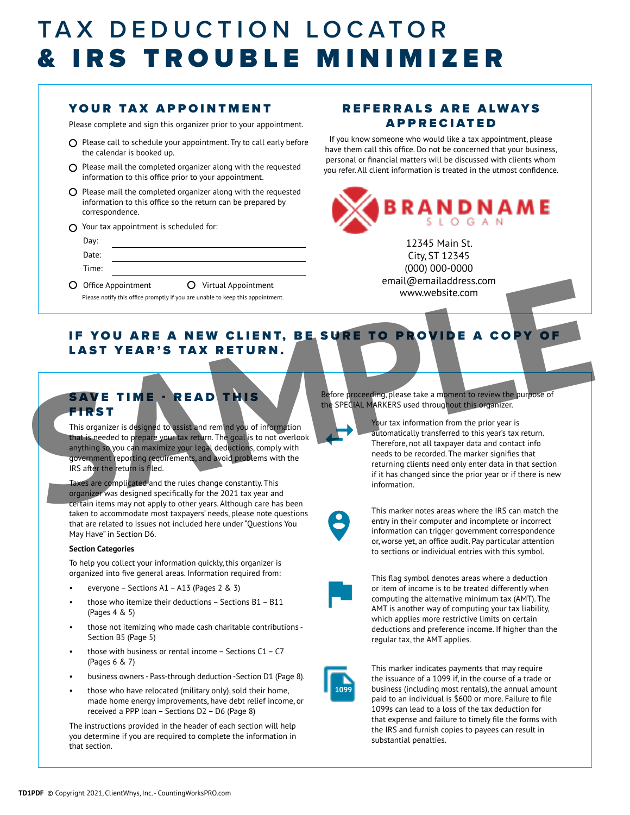# TAX DEDUCTION LOCATOR & IRS TROUBLE MINIMIZER

## YOUR TAX APPOINTMENT

Please complete and sign this organizer prior to your appointment.

- $O$  Please call to schedule your appointment. Try to call early before the calendar is booked up.
- $\Omega$  Please mail the completed organizer along with the requested information to this office prior to your appointment.
- $O$  Please mail the completed organizer along with the requested information to this office so the return can be prepared by correspondence.
- $\Omega$  Your tax appointment is scheduled for:

| Day:  |                                                                                                                                         |
|-------|-----------------------------------------------------------------------------------------------------------------------------------------|
| Date: |                                                                                                                                         |
| Time: |                                                                                                                                         |
| __    | ∽<br>the contract of the contract of the contract of<br>the contract of the contract of the contract of the contract of the contract of |

O Office Appointment O Virtual Appointment Please notify this office promptly if you are unable to keep this appointment.

### REFERRALS ARE ALWAYS APPRECIATED

If you know someone who would like a tax appointment, please have them call this office. Do not be concerned that your business, personal or financial matters will be discussed with clients whom you refer. All client information is treated in the utmost confidence.



12345 Main St. City, ST 12345 (000) 000-0000 email@emailaddress.com www.website.com

## IF YOU ARE A NEW CLIENT, BE SURE TO PROVIDE A COPY OF LAST YEAR'S TAX RETURN.

## SAVE TIME - READ THIS **FIRST**

This organizer is designed to assist and remind you of information that is needed to prepare your tax return. The goal is to not overlook anything so you can maximize your legal deductions, comply with government reporting requirements, and avoid problems with the IRS after the return is filed.

Taxes are complicated and the rules change constantly. This organizer was designed specifically for the 2021 tax year and certain items may not apply to other years. Although care has been taken to accommodate most taxpayers' needs, please note questions that are related to issues not included here under "Questions You May Have" in Section D6.

#### **Section Categories**

To help you collect your information quickly, this organizer is organized into five general areas. Information required from:

- everyone Sections A1 A13 (Pages 2 & 3)
- those who itemize their deductions Sections B1 B11 (Pages 4 & 5)
- those not itemizing who made cash charitable contributions Section B5 (Page 5)
- those with business or rental income  $-$  Sections C1  $-$  C7 (Pages 6 & 7)
- business owners Pass-through deduction -Section D1 (Page 8).
- those who have relocated (military only), sold their home, made home energy improvements, have debt relief income, or received a PPP loan – Sections D2 – D6 (Page 8)

The instructions provided in the header of each section will help you determine if you are required to complete the information in that section.

Before proceeding, please take a moment to review the purpose of the SPECIAL MARKERS used throughout this organizer.

Your tax information from the prior year is automatically transferred to this year's tax return. Therefore, not all taxpayer data and contact info needs to be recorded. The marker signifies that returning clients need only enter data in that section if it has changed since the prior year or if there is new information. Contract and the state property of the state of the state of the state of the state of the state of the state of the state of the state of the state of the state of the state of the state of the state of the state of the s



 $\leftarrow$ 

This marker notes areas where the IRS can match the entry in their computer and incomplete or incorrect information can trigger government correspondence or, worse yet, an office audit. Pay particular attention to sections or individual entries with this symbol.



This flag symbol denotes areas where a deduction or item of income is to be treated differently when computing the alternative minimum tax (AMT). The AMT is another way of computing your tax liability, which applies more restrictive limits on certain deductions and preference income. If higher than the regular tax, the AMT applies.



This marker indicates payments that may require the issuance of a 1099 if, in the course of a trade or business (including most rentals), the annual amount paid to an individual is \$600 or more. Failure to file 1099s can lead to a loss of the tax deduction for that expense and failure to timely file the forms with the IRS and furnish copies to payees can result in substantial penalties.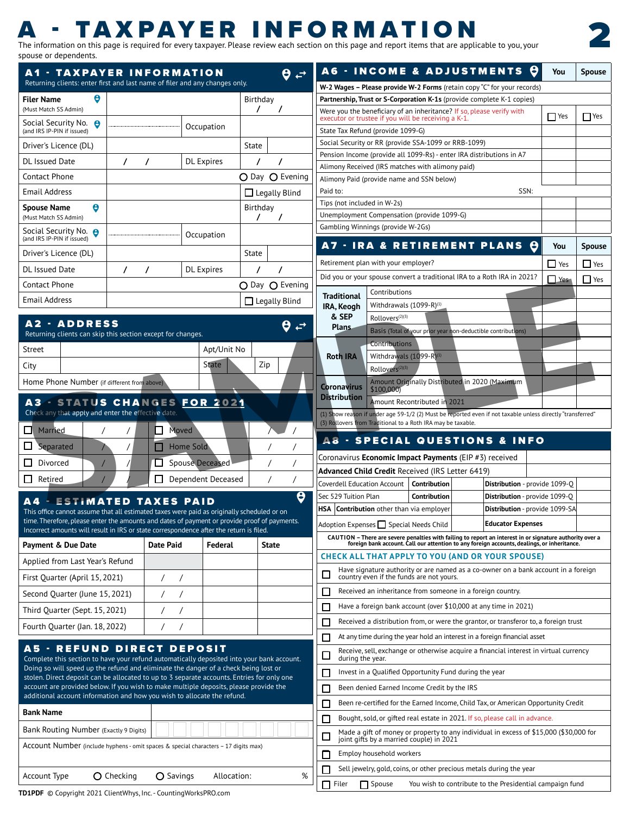# - TAXPAYER INFORMATI

A1 - TAXPAYER INFORMATION

The information on this page is required for every taxpayer. Please review each section on this page and report items that are applicable to you, your spouse or dependents.

 $\theta \nightharpoonup$ 

A6 - INCOME & ADJUSTMENTS Q

| Returning clients: enter first and last name of filer and any changes only.                                                                                                      |                   |                                                |                    |                      | W-2 Wages - Please provide W-2 Forms (retain copy "C" for your records)                                                                                                    |                                |            |               |
|----------------------------------------------------------------------------------------------------------------------------------------------------------------------------------|-------------------|------------------------------------------------|--------------------|----------------------|----------------------------------------------------------------------------------------------------------------------------------------------------------------------------|--------------------------------|------------|---------------|
| <b>Filer Name</b>                                                                                                                                                                |                   |                                                |                    | Birthday             | Partnership, Trust or S-Corporation K-1s (provide complete K-1 copies)                                                                                                     |                                |            |               |
| (Must Match SS Admin)                                                                                                                                                            |                   |                                                |                    |                      | Were you the beneficiary of an inheritance? If so, please verify with<br>executor or trustee if you will be receiving a K-1.                                               |                                | $\Box$ Yes | $\Box$ Yes    |
| Social Security No. <b>8</b><br>(and IRS IP-PIN if issued)                                                                                                                       |                   |                                                | Occupation         |                      | State Tax Refund (provide 1099-G)                                                                                                                                          |                                |            |               |
| Driver's Licence (DL)                                                                                                                                                            |                   |                                                | State              |                      | Social Security or RR (provide SSA-1099 or RRB-1099)                                                                                                                       |                                |            |               |
| DL Issued Date                                                                                                                                                                   |                   | DL Expires                                     |                    |                      | Pension Income (provide all 1099-Rs) - enter IRA distributions in A7<br>Alimony Received (IRS matches with alimony paid)                                                   |                                |            |               |
| Contact Phone                                                                                                                                                                    |                   |                                                |                    | O Day O Evening      | Alimony Paid (provide name and SSN below)                                                                                                                                  |                                |            |               |
| <b>Email Address</b>                                                                                                                                                             |                   |                                                |                    | $\Box$ Legally Blind | Paid to:                                                                                                                                                                   | SSN:                           |            |               |
| $\bullet$<br>Spouse Name                                                                                                                                                         |                   |                                                |                    | Birthday             | Tips (not included in W-2s)                                                                                                                                                |                                |            |               |
| (Must Match SS Admin)                                                                                                                                                            |                   |                                                |                    |                      | Unemployment Compensation (provide 1099-G)                                                                                                                                 |                                |            |               |
| Social Security No. <b>8</b><br>(and IRS IP-PIN if issued)                                                                                                                       |                   |                                                | Occupation         |                      | Gambling Winnings (provide W-2Gs)                                                                                                                                          |                                |            |               |
| Driver's Licence (DL)                                                                                                                                                            |                   |                                                | State              |                      | A7 - IRA & RETIREMENT PLANS O                                                                                                                                              |                                | You        | <b>Spouse</b> |
| DL Issued Date                                                                                                                                                                   |                   | <b>DL</b> Expires                              |                    |                      | Retirement plan with your employer?                                                                                                                                        |                                | $\Box$ Yes | $\Box$ Yes    |
|                                                                                                                                                                                  |                   |                                                |                    |                      | Did you or your spouse convert a traditional IRA to a Roth IRA in 2021?                                                                                                    |                                | Yes        | Yes           |
| Contact Phone                                                                                                                                                                    |                   |                                                |                    | O Day O Evening      | Contributions<br><b>Traditional</b>                                                                                                                                        |                                |            |               |
| Email Address                                                                                                                                                                    |                   |                                                |                    | $\Box$ Legally Blind | Withdrawals $(1099-R)^{(1)}$<br>IRA, Keogh                                                                                                                                 |                                |            |               |
| <b>A2 - ADDRESS</b>                                                                                                                                                              |                   |                                                |                    | $\theta \neq$        | & SEP<br>Rollovers <sup>(2)(3)</sup><br><b>Plans</b>                                                                                                                       |                                |            |               |
| Returning clients can skip this section except for changes.                                                                                                                      |                   |                                                |                    |                      | Basis (Total of your prior year non-deductible contributions)                                                                                                              |                                |            |               |
| Street                                                                                                                                                                           |                   |                                                | Apt/Unit No        |                      | Contributions                                                                                                                                                              |                                |            |               |
| City                                                                                                                                                                             |                   |                                                |                    | Zip                  | <b>Roth IRA</b> Withdrawals (1099-R) <sup>(1</sup><br>Rollovers                                                                                                            |                                |            |               |
| Home Phone Number (if different from above)                                                                                                                                      |                   |                                                |                    |                      | Amount Originally Distributed in 2020 (Maximum                                                                                                                             |                                |            |               |
|                                                                                                                                                                                  |                   |                                                |                    |                      | Coronavirus \$100,0<br><b>Distribution</b>                                                                                                                                 |                                |            |               |
| A3 - STATUS CHANGES FOR 2021                                                                                                                                                     |                   |                                                |                    |                      | Amount Recontributed in 2021                                                                                                                                               |                                |            |               |
| Check any that apply and enter the effective date.                                                                                                                               |                   |                                                |                    |                      | (1) Show reason if under age 59-1/2 (2) Must be reported even if not taxable unless directly "transferred"<br>(3) Rollovers from Traditional to a Roth IRA may be taxable. |                                |            |               |
| $\Box$ Married                                                                                                                                                                   |                   | Moved                                          |                    | $\sqrt{1}$           | <b>A8 - SPECIAL QUESTIONS &amp; INFO</b>                                                                                                                                   |                                |            |               |
| $\Box$ Separated                                                                                                                                                                 |                   | Home Sold                                      |                    |                      |                                                                                                                                                                            |                                |            |               |
| Divorced                                                                                                                                                                         |                   | Spouse Deceased                                |                    |                      | Coronavirus <b>Economic Impact Payments</b> (EIP #3) received                                                                                                              |                                |            |               |
| $\Box$ Retired                                                                                                                                                                   |                   |                                                | Dependent Deceased |                      | Advanced Child Credit Received (IRS Letter 6419)<br>Coverdell Education Account   Contribution                                                                             | Distribution - provide 1099-Q  |            |               |
|                                                                                                                                                                                  |                   |                                                |                    | 8                    | Sec 529 Tuition Plan<br>Contribution                                                                                                                                       | Distribution - provide 1099-Q  |            |               |
| <b>A4 - ESTIMATED TAXES PAID</b><br>This office cannot assume that all estimated taxes were paid as originally scheduled or on                                                   |                   |                                                |                    |                      | HSA Contribution other than via employer                                                                                                                                   | Distribution - provide 1099-SA |            |               |
| time. Therefore, please enter the amounts and dates of payment or provide proof of payments.                                                                                     |                   |                                                |                    |                      | Adoption Expenses Special Needs Child                                                                                                                                      | <b>Educator Expenses</b>       |            |               |
| Incorrect amounts will result in IRS or state correspondence after the return is filed.                                                                                          |                   |                                                |                    |                      | CAUTION - There are severe penalties with failing to report an interest in or signature authority over a                                                                   |                                |            |               |
| Payment & Due Date                                                                                                                                                               | Date Paid         |                                                | Federal            | State                | foreign bank account. Call our attention to any foreign accounts, dealings, or inheritance.                                                                                |                                |            |               |
| Applied from Last Year's Refund                                                                                                                                                  |                   |                                                |                    |                      | <b>CHECK ALL THAT APPLY TO YOU (AND OR YOUR SPOUSE)</b>                                                                                                                    |                                |            |               |
| First Quarter (April 15, 2021)                                                                                                                                                   |                   | $\left  \begin{array}{cc} \end{array} \right $ |                    |                      | Have signature authority or are named as a co-owner on a bank account in a foreign<br>D Have signature additional state not yours.                                         |                                |            |               |
| Second Quarter (June 15, 2021)                                                                                                                                                   |                   |                                                |                    |                      | $\Box$ Received an inheritance from someone in a foreign country.                                                                                                          |                                |            |               |
| Third Quarter (Sept. 15, 2021)                                                                                                                                                   |                   | $\left  \begin{array}{cc} \end{array} \right $ |                    |                      | Have a foreign bank account (over \$10,000 at any time in 2021)                                                                                                            |                                |            |               |
|                                                                                                                                                                                  |                   |                                                |                    |                      | $\Box$ Received a distribution from, or were the grantor, or transferor to, a foreign trust                                                                                |                                |            |               |
| Fourth Quarter (Jan. 18, 2022)                                                                                                                                                   |                   |                                                |                    |                      | $\Box$ At any time during the year hold an interest in a foreign financial asset                                                                                           |                                |            |               |
| <b>A5 - REFUND DIRECT DEPOSIT</b>                                                                                                                                                |                   |                                                |                    |                      | Receive, sell, exchange or otherwise acquire a financial interest in virtual currency                                                                                      |                                |            |               |
| Complete this section to have your refund automatically deposited into your bank account.<br>Doing so will speed up the refund and eliminate the danger of a check being lost or |                   |                                                |                    |                      | $\Box$ Receive, set, extractional during the year.                                                                                                                         |                                |            |               |
| stolen. Direct deposit can be allocated to up to 3 separate accounts. Entries for only one                                                                                       |                   |                                                |                    |                      | Invest in a Qualified Opportunity Fund during the year                                                                                                                     |                                |            |               |
| account are provided below. If you wish to make multiple deposits, please provide the<br>additional account information and how you wish to allocate the refund.                 |                   |                                                |                    |                      | Been denied Earned Income Credit by the IRS                                                                                                                                |                                |            |               |
| <b>Bank Name</b>                                                                                                                                                                 |                   |                                                |                    |                      | Been re-certified for the Earned Income, Child Tax, or American Opportunity Credit                                                                                         |                                |            |               |
|                                                                                                                                                                                  |                   |                                                |                    |                      | Bought, sold, or gifted real estate in 2021. If so, please call in advance.                                                                                                |                                |            |               |
| Bank Routing Number (Exactly 9 Digits)                                                                                                                                           |                   |                                                |                    |                      | Made a gift of money or property to any individual in excess of \$15,000 (\$30,000 for<br>$\Box$<br>joint gifts by a married couple) in 2021                               |                                |            |               |
| Account Number (include hyphens - omit spaces & special characters – 17 digits max)                                                                                              |                   |                                                |                    |                      | Employ household workers                                                                                                                                                   |                                |            |               |
|                                                                                                                                                                                  |                   |                                                |                    |                      | Sell jewelry, gold, coins, or other precious metals during the year                                                                                                        |                                |            |               |
|                                                                                                                                                                                  |                   |                                                |                    |                      |                                                                                                                                                                            |                                |            |               |
| Account Type                                                                                                                                                                     | <b>O</b> Checking | O Savings                                      | Allocation:        | %                    | $\Box$ Filer<br>Spouse You wish to contribute to the Presidential campaign fund                                                                                            |                                |            |               |



**You Spouse**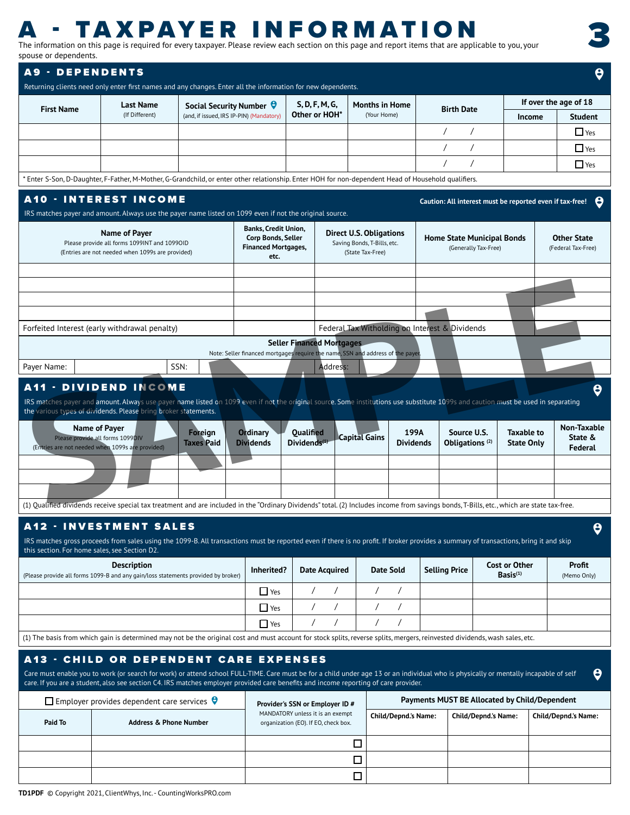# **A - TAXPAYER INFORMATION**<br>The information on this page is required for every taxpayer. Please review each section on this page and report items that are applicable to you, your

spouse or dependents.

3

| spouse or dependents.                                                                                                                                                                                                                  |                                                                                                                                                                                      |                                                                            |                             |                                                                          |                                                                               |                                                |                                                                   |                             |
|----------------------------------------------------------------------------------------------------------------------------------------------------------------------------------------------------------------------------------------|--------------------------------------------------------------------------------------------------------------------------------------------------------------------------------------|----------------------------------------------------------------------------|-----------------------------|--------------------------------------------------------------------------|-------------------------------------------------------------------------------|------------------------------------------------|-------------------------------------------------------------------|-----------------------------|
| <b>A9 - DEPENDENTS</b>                                                                                                                                                                                                                 |                                                                                                                                                                                      |                                                                            |                             |                                                                          |                                                                               |                                                |                                                                   | ႎ                           |
| Returning clients need only enter first names and any changes. Enter all the information for new dependents.                                                                                                                           |                                                                                                                                                                                      |                                                                            |                             |                                                                          |                                                                               |                                                |                                                                   |                             |
|                                                                                                                                                                                                                                        |                                                                                                                                                                                      |                                                                            |                             |                                                                          |                                                                               |                                                |                                                                   | If over the age of 18       |
| <b>First Name</b>                                                                                                                                                                                                                      | <b>Last Name</b><br>(If Different)                                                                                                                                                   | Social Security Number $\Theta$<br>(and, if issued, IRS IP-PIN) (Mandatory |                             | S, D, F, M, G,<br>Other or HOH*                                          | <b>Months in Home</b><br>(Your Home)                                          | <b>Birth Date</b>                              | Income                                                            | <b>Student</b>              |
|                                                                                                                                                                                                                                        |                                                                                                                                                                                      |                                                                            |                             |                                                                          |                                                                               |                                                |                                                                   | $\Box$ Yes                  |
|                                                                                                                                                                                                                                        |                                                                                                                                                                                      |                                                                            |                             |                                                                          |                                                                               |                                                |                                                                   |                             |
|                                                                                                                                                                                                                                        |                                                                                                                                                                                      |                                                                            |                             |                                                                          |                                                                               |                                                |                                                                   | $\Box$ Yes                  |
|                                                                                                                                                                                                                                        |                                                                                                                                                                                      |                                                                            |                             |                                                                          |                                                                               |                                                |                                                                   | $\Box$ Yes                  |
| * Enter S-Son, D-Daughter, F-Father, M-Mother, G-Grandchild, or enter other relationship. Enter HOH for non-dependent Head of Household qualifiers.                                                                                    |                                                                                                                                                                                      |                                                                            |                             |                                                                          |                                                                               |                                                |                                                                   |                             |
| <b>A10 - INTEREST INCOME</b>                                                                                                                                                                                                           |                                                                                                                                                                                      |                                                                            |                             |                                                                          |                                                                               |                                                |                                                                   |                             |
| IRS matches payer and amount. Always use the payer name listed on 1099 even if not the original source.                                                                                                                                |                                                                                                                                                                                      |                                                                            |                             |                                                                          |                                                                               |                                                | Caution: All interest must be reported even if tax-free! $\Theta$ |                             |
|                                                                                                                                                                                                                                        |                                                                                                                                                                                      |                                                                            | <b>Banks, Credit Union,</b> |                                                                          |                                                                               |                                                |                                                                   |                             |
|                                                                                                                                                                                                                                        | Name of Payer                                                                                                                                                                        |                                                                            | Corp Bonds, Seller          |                                                                          | <b>Direct U.S. Obligations</b>                                                |                                                | <b>Home State Municipal Bonds</b>                                 | <b>Other State</b>          |
|                                                                                                                                                                                                                                        | Please provide all forms 1099INT and 1099OID<br>(Entries are not needed when 1099s are provided)                                                                                     |                                                                            | <b>Financed Mortgages,</b>  |                                                                          | Saving Bonds, T-Bills, etc.<br>(State Tax-Free)                               |                                                | (Generally Tax-Free)                                              | (Federal Tax-Free)          |
|                                                                                                                                                                                                                                        |                                                                                                                                                                                      |                                                                            | etc.                        |                                                                          |                                                                               |                                                |                                                                   |                             |
|                                                                                                                                                                                                                                        |                                                                                                                                                                                      |                                                                            |                             |                                                                          |                                                                               |                                                |                                                                   |                             |
|                                                                                                                                                                                                                                        |                                                                                                                                                                                      |                                                                            |                             |                                                                          |                                                                               |                                                |                                                                   |                             |
|                                                                                                                                                                                                                                        |                                                                                                                                                                                      |                                                                            |                             |                                                                          |                                                                               |                                                |                                                                   |                             |
|                                                                                                                                                                                                                                        |                                                                                                                                                                                      |                                                                            |                             |                                                                          |                                                                               |                                                |                                                                   |                             |
| Forfeited Interest (early withdrawal penalty)                                                                                                                                                                                          |                                                                                                                                                                                      |                                                                            |                             |                                                                          | Federal Tax Witholding on Interest & Dividends                                |                                                |                                                                   |                             |
|                                                                                                                                                                                                                                        |                                                                                                                                                                                      |                                                                            |                             | <b>Seller Financed Mortgages</b>                                         |                                                                               |                                                |                                                                   |                             |
|                                                                                                                                                                                                                                        |                                                                                                                                                                                      |                                                                            |                             |                                                                          | Note: Seller financed mortgages require the name, SSN and address of the paye |                                                |                                                                   |                             |
| Payer Name:                                                                                                                                                                                                                            |                                                                                                                                                                                      | SSN:                                                                       |                             | Address:                                                                 |                                                                               |                                                |                                                                   |                             |
| <b>A11 - DIVIDEND INCOME</b>                                                                                                                                                                                                           |                                                                                                                                                                                      |                                                                            |                             |                                                                          |                                                                               |                                                |                                                                   |                             |
| Please provide all forms 1099DIV<br>(Entries are not needed when 1099s are provided)                                                                                                                                                   |                                                                                                                                                                                      | <b>Taxes Paid</b>                                                          | <b>Dividends</b>            | Dividends <sup>(1)</sup>                                                 | <b>Capital Gains</b>                                                          | <b>Dividends</b><br>Obligations <sup>(2)</sup> | <b>State Only</b>                                                 | State &<br>Federal          |
| (1) Qualified dividends receive special tax treatment and are included in the "Ordinary Dividends" total. (2) Includes income from savings bonds, T-Bills, etc., which are state tax-free.                                             |                                                                                                                                                                                      |                                                                            |                             |                                                                          |                                                                               |                                                |                                                                   |                             |
|                                                                                                                                                                                                                                        |                                                                                                                                                                                      |                                                                            |                             |                                                                          |                                                                               |                                                |                                                                   |                             |
| <b>A12 - INVESTMENT SALES</b>                                                                                                                                                                                                          |                                                                                                                                                                                      |                                                                            |                             |                                                                          |                                                                               |                                                |                                                                   |                             |
| IRS matches gross proceeds from sales using the 1099-B. All transactions must be reported even if there is no profit. If broker provides a summary of transactions, bring it and skip<br>this section. For home sales, see Section D2. |                                                                                                                                                                                      |                                                                            |                             |                                                                          |                                                                               |                                                |                                                                   |                             |
|                                                                                                                                                                                                                                        | <b>Description</b>                                                                                                                                                                   |                                                                            | Inherited?                  | <b>Date Acquired</b>                                                     | <b>Date Sold</b>                                                              | Selling Price                                  | <b>Cost or Other</b>                                              | Profit                      |
| (Please provide all forms 1099-B and any gain/loss statements provided by broker)                                                                                                                                                      |                                                                                                                                                                                      |                                                                            |                             |                                                                          |                                                                               |                                                | Basis <sup>(1)</sup>                                              | (Memo Only)                 |
|                                                                                                                                                                                                                                        |                                                                                                                                                                                      |                                                                            | $\Box$ Yes                  |                                                                          |                                                                               |                                                |                                                                   |                             |
|                                                                                                                                                                                                                                        |                                                                                                                                                                                      |                                                                            | $\Box$ Yes                  |                                                                          |                                                                               |                                                |                                                                   |                             |
|                                                                                                                                                                                                                                        |                                                                                                                                                                                      |                                                                            | $\Box$ Yes                  |                                                                          |                                                                               |                                                |                                                                   |                             |
| (1) The basis from which gain is determined may not be the original cost and must account for stock splits, reverse splits, mergers, reinvested dividends, wash sales, etc.                                                            |                                                                                                                                                                                      |                                                                            |                             |                                                                          |                                                                               |                                                |                                                                   |                             |
| <b>A13 - CHILD OR DEPENDENT CARE EXPENSES</b>                                                                                                                                                                                          |                                                                                                                                                                                      |                                                                            |                             |                                                                          |                                                                               |                                                |                                                                   |                             |
|                                                                                                                                                                                                                                        |                                                                                                                                                                                      |                                                                            |                             |                                                                          |                                                                               |                                                |                                                                   |                             |
| care. If you are a student, also see section C4. IRS matches employer provided care benefits and income reporting of care provider.                                                                                                    |                                                                                                                                                                                      |                                                                            |                             |                                                                          |                                                                               |                                                |                                                                   |                             |
|                                                                                                                                                                                                                                        | Care must enable you to work (or search for work) or attend school FULL-TIME. Care must be for a child under age 13 or an individual who is physically or mentally incapable of self |                                                                            |                             |                                                                          |                                                                               |                                                |                                                                   |                             |
|                                                                                                                                                                                                                                        |                                                                                                                                                                                      |                                                                            |                             |                                                                          |                                                                               |                                                |                                                                   |                             |
|                                                                                                                                                                                                                                        | $\Box$ Employer provides dependent care services $\Theta$                                                                                                                            |                                                                            |                             | Provider's SSN or Employer ID #                                          |                                                                               |                                                | Payments MUST BE Allocated by Child/Dependent                     |                             |
| Paid To                                                                                                                                                                                                                                | <b>Address &amp; Phone Number</b>                                                                                                                                                    |                                                                            |                             | MANDATORY unless it is an exempt<br>organization (EO). If EO, check box. | <b>Child/Depnd.'s Name:</b>                                                   |                                                | <b>Child/Depnd.'s Name:</b>                                       |                             |
|                                                                                                                                                                                                                                        |                                                                                                                                                                                      |                                                                            |                             |                                                                          |                                                                               |                                                |                                                                   | <b>Child/Depnd.'s Name:</b> |
|                                                                                                                                                                                                                                        |                                                                                                                                                                                      |                                                                            |                             |                                                                          | $\Box$                                                                        |                                                |                                                                   |                             |
|                                                                                                                                                                                                                                        |                                                                                                                                                                                      |                                                                            |                             |                                                                          | $\Box$                                                                        |                                                |                                                                   |                             |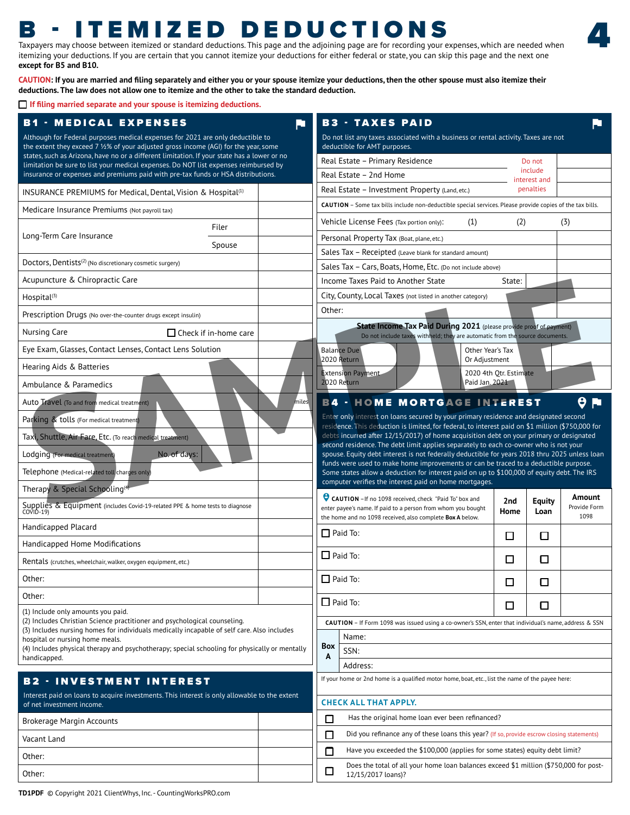# B - ITEMIZED DEDUCTIONS

Taxpayers may choose between itemized or standard deductions. This page and the adjoining page are for recording your expenses, which are needed when itemizing your deductions. If you are certain that you cannot itemize your deductions for either federal or state, you can skip this page and the next one **except for B5 and B10.** 

4

**CAUTION: If you are married and filing separately and either you or your spouse itemize your deductions, then the other spouse must also itemize their deductions. The law does not allow one to itemize and the other to take the standard deduction.** 

**If filing married separate and your spouse is itemizing deductions.**

| <b>B1 - MEDICAL EXPENSES</b><br>RT.                                                                                                                                      | <b>B3 - TAXES PAID</b>                                                                                                                                                               |                        |                           |                        |
|--------------------------------------------------------------------------------------------------------------------------------------------------------------------------|--------------------------------------------------------------------------------------------------------------------------------------------------------------------------------------|------------------------|---------------------------|------------------------|
| Although for Federal purposes medical expenses for 2021 are only deductible to<br>the extent they exceed 7 1⁄2% of your adjusted gross income (AGI) for the year, some   | Do not list any taxes associated with a business or rental activity. Taxes are not<br>deductible for AMT purposes.                                                                   |                        |                           |                        |
| states, such as Arizona, have no or a different limitation. If your state has a lower or no                                                                              | Real Estate - Primary Residence                                                                                                                                                      |                        | Do not                    |                        |
| limitation be sure to list your medical expenses. Do NOT list expenses reimbursed by<br>insurance or expenses and premiums paid with pre-tax funds or HSA distributions. | Real Estate - 2nd Home                                                                                                                                                               |                        | include                   |                        |
| INSURANCE PREMIUMS for Medical, Dental, Vision & Hospital <sup>(1)</sup>                                                                                                 | Real Estate - Investment Property (Land, etc.)                                                                                                                                       |                        | interest and<br>penalties |                        |
| Medicare Insurance Premiums (Not payroll tax)                                                                                                                            | CAUTION - Some tax bills include non-deductible special services. Please provide copies of the tax bills.                                                                            |                        |                           |                        |
| Filer                                                                                                                                                                    | Vehicle License Fees (Tax portion only):<br>(1)                                                                                                                                      | (2)                    |                           | (3)                    |
| Long-Term Care Insurance                                                                                                                                                 | Personal Property Tax (Boat, plane, etc.)                                                                                                                                            |                        |                           |                        |
| Spouse                                                                                                                                                                   | Sales Tax - Receipted (Leave blank for standard amount)                                                                                                                              |                        |                           |                        |
| Doctors, Dentists <sup>(2)</sup> (No discretionary cosmetic surgery)                                                                                                     | Sales Tax - Cars, Boats, Home, Etc. (Do not include above)                                                                                                                           |                        |                           |                        |
| Acupuncture & Chiropractic Care                                                                                                                                          | Income Taxes Paid to Another State                                                                                                                                                   | State:                 |                           |                        |
| Hospital <sup>(3)</sup>                                                                                                                                                  | City, County, Local Taxes (not listed in another category)                                                                                                                           |                        |                           |                        |
| Prescription Drugs (No over-the-counter drugs except insulin)                                                                                                            | Other:                                                                                                                                                                               |                        |                           |                        |
| □ Check if in-home care<br>Nursing Care                                                                                                                                  | State Income Tax Paid During 2021 (please provide proof of payment)<br>Do not include taxes withheld; they are automatic from the source documents.                                  |                        |                           |                        |
| Eye Exam, Glasses, Contact Lenses, Contact Lens Solution                                                                                                                 | <b>Balance Due</b><br>Other Year's Tax                                                                                                                                               |                        |                           |                        |
| Hearing Aids & Batteries                                                                                                                                                 | 2020 Return<br>Or Adjustment                                                                                                                                                         |                        |                           |                        |
| Ambulance & Paramedics                                                                                                                                                   | xtension Payment<br>2020 Return<br>Paid Jan. 2021                                                                                                                                    | 2020 4th Otr. Estimate |                           |                        |
| Auto Travel (To and from medical treatment)                                                                                                                              | <b>B4 - HOME MORTGAGE INTEREST</b>                                                                                                                                                   |                        |                           | $\theta$ M             |
| Parking & tolls (For medical treatment)                                                                                                                                  | Enter only interest on loans secured by your primary residence and designated second                                                                                                 |                        |                           |                        |
|                                                                                                                                                                          | residence. This deduction is limited, for federal, to interest paid on \$1 million (\$750,000 for                                                                                    |                        |                           |                        |
| Taxi, Shuttle, Air Fare, Etc. (To reach medical treatment)                                                                                                               | debts incurred after 12/15/2017) of home acquisition debt on your primary or designated<br>second residence. The debt limit applies separately to each co-owner who is not your      |                        |                           |                        |
| No. of days:<br>Lodging (For medical treatmer                                                                                                                            | spouse. Equity debt interest is not federally deductible for years 2018 thru 2025 unless loan<br>funds were used to make home improvements or can be traced to a deductible purpose. |                        |                           |                        |
| Telephone (Medical-related toll charges only                                                                                                                             | Some states allow a deduction for interest paid on up to \$100,000 of equity debt. The IRS                                                                                           |                        |                           |                        |
| Therapy & Special Schooling <sup>(4)</sup>                                                                                                                               | computer verifies the interest paid on home mortgages.                                                                                                                               |                        |                           |                        |
| Suppliers & Equipment (includes Covid-19-related PPE & home tests to diagnose<br>COVID-19)                                                                               | CAUTION - If no 1098 received, check "Paid To" box and<br>enter payee's name. If paid to a person from whom you bought                                                               | 2nd<br>Home            | <b>Equity</b><br>Loan     | Amount<br>Provide Form |
| Handicapped Placard                                                                                                                                                      | the home and no 1098 received, also complete Box A below.                                                                                                                            |                        |                           | 1098                   |
| Handicapped Home Modifications                                                                                                                                           | $\Box$ Paid To:                                                                                                                                                                      | $\Box$                 | $\Box$                    |                        |
|                                                                                                                                                                          | $\Box$ Paid To:                                                                                                                                                                      | $\Box$                 | □                         |                        |
| Rentals (crutches, wheelchair, walker, oxygen equipment, etc.)                                                                                                           |                                                                                                                                                                                      |                        |                           |                        |
| Other:                                                                                                                                                                   | $\Box$ Paid To:                                                                                                                                                                      | $\Box$                 | $\Box$                    |                        |
|                                                                                                                                                                          |                                                                                                                                                                                      |                        | □                         |                        |
| Other:                                                                                                                                                                   | $\Box$ Paid To:                                                                                                                                                                      |                        |                           |                        |
| (1) Include only amounts you paid.                                                                                                                                       |                                                                                                                                                                                      | $\Box$                 |                           |                        |
| (2) Includes Christian Science practitioner and psychological counseling.<br>(3) Includes nursing homes for individuals medically incapable of self care. Also includes  | CAUTION - If Form 1098 was issued using a co-owner's SSN, enter that individual's name, address & SSN                                                                                |                        |                           |                        |
| hospital or nursing home meals.<br>(4) Includes physical therapy and psychotherapy; special schooling for physically or mentally                                         | Name:<br>Box                                                                                                                                                                         |                        |                           |                        |
| handicapped.                                                                                                                                                             | SSN:<br>$\overline{A}$                                                                                                                                                               |                        |                           |                        |
| <b>B2 - INVESTMENT INTEREST</b>                                                                                                                                          | Address:<br>If your home or 2nd home is a qualified motor home, boat, etc., list the name of the payee here:                                                                         |                        |                           |                        |
| Interest paid on loans to acquire investments. This interest is only allowable to the extent                                                                             |                                                                                                                                                                                      |                        |                           |                        |
| of net investment income.                                                                                                                                                | <b>CHECK ALL THAT APPLY.</b>                                                                                                                                                         |                        |                           |                        |
| Brokerage Margin Accounts                                                                                                                                                | $\Box$<br>Has the original home loan ever been refinanced?                                                                                                                           |                        |                           |                        |
| Vacant Land                                                                                                                                                              | Did you refinance any of these loans this year? (If so, provide escrow closing statements)<br>$\Box$                                                                                 |                        |                           |                        |
| Other:                                                                                                                                                                   | Have you exceeded the \$100,000 (applies for some states) equity debt limit?<br>$\Box$<br>Does the total of all your home loan balances exceed \$1 million (\$750,000 for post-      |                        |                           |                        |

**TD1PDF** © Copyright 2021 ClientWhys, Inc. - CountingWorksPRO.com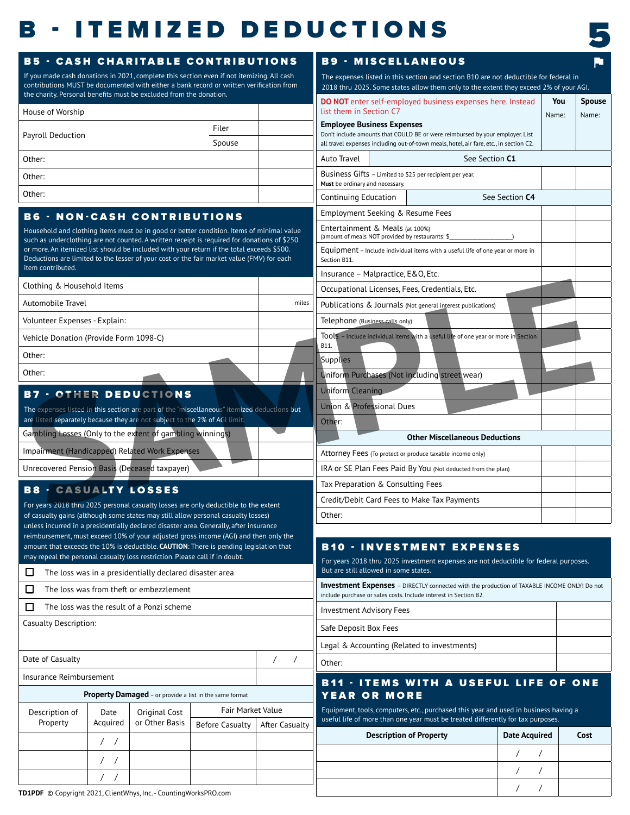# **B** - ITEMIZED DEDUCTIONS



| If you made cash donations in 2021, complete this section even if not itemizing. All cash                                                                                                | <b>B5 - CASH CHARITABLE CONTRIBUTIONS</b>               |                                  |            |                                                                                                                                      | <b>B9 - MISCELLANEOUS</b><br>P. |                      |  |  |  |  |  |
|------------------------------------------------------------------------------------------------------------------------------------------------------------------------------------------|---------------------------------------------------------|----------------------------------|------------|--------------------------------------------------------------------------------------------------------------------------------------|---------------------------------|----------------------|--|--|--|--|--|
| contributions MUST be documented with either a bank record or written verification from                                                                                                  |                                                         |                                  |            | The expenses listed in this section and section B10 are not deductible for federal in                                                |                                 |                      |  |  |  |  |  |
| the charity. Personal benefits must be excluded from the donation.                                                                                                                       |                                                         |                                  |            | 2018 thru 2025. Some states allow them only to the extent they exceed 2% of your AGI.                                                |                                 | <b>Spouse</b><br>You |  |  |  |  |  |
| House of Worship                                                                                                                                                                         |                                                         |                                  |            | <b>DO NOT</b> enter self-employed business expenses here. Instead<br>list them in Section C7                                         |                                 | Name:<br>Name:       |  |  |  |  |  |
|                                                                                                                                                                                          |                                                         | Filer                            |            | <b>Employee Business Expenses</b><br>Don't include amounts that COULD BE or were reimbursed by your employer. List                   |                                 |                      |  |  |  |  |  |
| Payroll Deduction                                                                                                                                                                        |                                                         | Spouse                           |            | all travel expenses including out-of-town meals, hotel, air fare, etc., in section C2.                                               |                                 |                      |  |  |  |  |  |
| Other:                                                                                                                                                                                   |                                                         |                                  |            | Auto Travel                                                                                                                          | See Section C1                  |                      |  |  |  |  |  |
| Other:                                                                                                                                                                                   |                                                         |                                  |            | Business Gifts - Limited to \$25 per recipient per year.<br>Must be ordinary and necessary.                                          |                                 |                      |  |  |  |  |  |
| Other:                                                                                                                                                                                   |                                                         |                                  |            | Continuing Education                                                                                                                 | See Section C4                  |                      |  |  |  |  |  |
| <b>B6 - NON-CASH CONTRIBUTIONS</b>                                                                                                                                                       |                                                         |                                  |            | Employment Seeking & Resume Fees                                                                                                     |                                 |                      |  |  |  |  |  |
| Household and clothing items must be in good or better condition. Items of minimal value                                                                                                 |                                                         |                                  |            | Entertainment & Meals (at 100%)                                                                                                      |                                 |                      |  |  |  |  |  |
| such as underclothing are not counted. A written receipt is required for donations of \$250<br>or more. An itemized list should be included with your return if the total exceeds \$500. |                                                         |                                  |            | (amount of meals NOT provided by restaurants: \$                                                                                     |                                 |                      |  |  |  |  |  |
| Deductions are limited to the lesser of your cost or the fair market value (FMV) for each                                                                                                |                                                         |                                  |            | Equipment - Include individual items with a useful life of one year or more in<br>Section B11.                                       |                                 |                      |  |  |  |  |  |
| item contributed.                                                                                                                                                                        |                                                         |                                  |            | Insurance - Malpractice, E&O, Etc.                                                                                                   |                                 |                      |  |  |  |  |  |
| Clothing & Household Items                                                                                                                                                               |                                                         |                                  |            | Occupational Licenses, Fees, Credentials, Etc.                                                                                       |                                 |                      |  |  |  |  |  |
| Automobile Travel                                                                                                                                                                        |                                                         |                                  | miles      | Publications & Journals (Not general interest publications)                                                                          |                                 |                      |  |  |  |  |  |
| Volunteer Expenses - Explain:                                                                                                                                                            |                                                         |                                  |            | Telephone (Business calls only)                                                                                                      |                                 |                      |  |  |  |  |  |
| Vehicle Donation (Provide Form 1098-C)                                                                                                                                                   |                                                         |                                  |            | Tools - Include individual items with a useful life of one year or more in Section                                                   |                                 |                      |  |  |  |  |  |
| Other:                                                                                                                                                                                   |                                                         |                                  |            | Supplies                                                                                                                             |                                 |                      |  |  |  |  |  |
| Other:                                                                                                                                                                                   |                                                         |                                  |            | Uniform Purchases (Not including street wear)                                                                                        |                                 |                      |  |  |  |  |  |
| <b>B7 - OTHER DEDUCTIONS</b>                                                                                                                                                             |                                                         |                                  |            | <b>Uniform Cleaning</b>                                                                                                              |                                 |                      |  |  |  |  |  |
| The expenses listed in this section are part of the "miscellaneous" itemized deductions but                                                                                              |                                                         |                                  |            | Union & Professional Dues                                                                                                            |                                 |                      |  |  |  |  |  |
| are listed separately because they are not subject to the 2% of AGI limit.                                                                                                               |                                                         |                                  |            | Other:                                                                                                                               |                                 |                      |  |  |  |  |  |
| Gambling Losses (Only to the extent of gambling winnings)                                                                                                                                |                                                         |                                  |            | <b>Other Miscellaneous Deductions</b>                                                                                                |                                 |                      |  |  |  |  |  |
| Impairment (Handicapped) Related Work Expenses                                                                                                                                           |                                                         |                                  |            | Attorney Fees (To protect or produce taxable income only)                                                                            |                                 |                      |  |  |  |  |  |
| Unrecovered Pension Basis (Deceased taxpayer)                                                                                                                                            |                                                         |                                  |            | IRA or SE Plan Fees Paid By You (Not deducted from the plan)                                                                         |                                 |                      |  |  |  |  |  |
|                                                                                                                                                                                          |                                                         |                                  |            | Tax Preparation & Consulting Fees                                                                                                    |                                 |                      |  |  |  |  |  |
| <b>B8 - CASUALTY LOSSES</b>                                                                                                                                                              |                                                         |                                  |            | Credit/Debit Card Fees to Make Tax Payments                                                                                          |                                 |                      |  |  |  |  |  |
| For years 2018 thru 2025 personal casualty losses are only deductible to the extent<br>of casualty gains (although some states may still allow personal casualty losses)                 |                                                         |                                  |            | Other:                                                                                                                               |                                 |                      |  |  |  |  |  |
| unless incurred in a presidentially declared disaster area. Generally, after insurance<br>reimbursement, must exceed 10% of your adjusted gross income (AGI) and then only the           |                                                         |                                  |            |                                                                                                                                      |                                 |                      |  |  |  |  |  |
| amount that exceeds the 10% is deductible. CAUTION: There is pending legislation that                                                                                                    |                                                         |                                  |            | <b>B10 · INVESTMENT EXPENSES</b>                                                                                                     |                                 |                      |  |  |  |  |  |
| may repeal the personal casualty loss restriction. Please call if in doubt.                                                                                                              |                                                         |                                  |            | For years 2018 thru 2025 investment expenses are not deductible for federal purposes.                                                |                                 |                      |  |  |  |  |  |
| $\Box$<br>The loss was in a presidentially declared disaster area                                                                                                                        |                                                         |                                  |            | But are still allowed in some states.<br>Investment Expenses - DIRECTLY connected with the production of TAXABLE INCOME ONLY! Do not |                                 |                      |  |  |  |  |  |
| $\Box$<br>The loss was from theft or embezzlement                                                                                                                                        |                                                         |                                  |            | include purchase or sales costs. Include interest in Section B2.                                                                     |                                 |                      |  |  |  |  |  |
|                                                                                                                                                                                          |                                                         |                                  |            | <b>Investment Advisory Fees</b>                                                                                                      |                                 |                      |  |  |  |  |  |
| 0<br>The loss was the result of a Ponzi scheme                                                                                                                                           |                                                         |                                  |            | Safe Deposit Box Fees                                                                                                                |                                 |                      |  |  |  |  |  |
| <b>Casualty Description:</b>                                                                                                                                                             |                                                         |                                  |            | Legal & Accounting (Related to investments)                                                                                          |                                 |                      |  |  |  |  |  |
|                                                                                                                                                                                          |                                                         |                                  |            |                                                                                                                                      |                                 |                      |  |  |  |  |  |
| Date of Casualty                                                                                                                                                                         |                                                         |                                  | $\sqrt{2}$ | Other:                                                                                                                               |                                 |                      |  |  |  |  |  |
| Insurance Reimbursement                                                                                                                                                                  |                                                         |                                  |            |                                                                                                                                      |                                 |                      |  |  |  |  |  |
|                                                                                                                                                                                          | Property Damaged - or provide a list in the same format |                                  |            | <b>B11 - ITEMS WITH A USEFUL LIFE OF ONE</b>                                                                                         |                                 |                      |  |  |  |  |  |
|                                                                                                                                                                                          |                                                         | Fair Market Value                |            | YEAR OR MORE<br>Equipment, tools, computers, etc., purchased this year and used in business having a                                 |                                 |                      |  |  |  |  |  |
| Description of<br>Date<br>Acquired<br>Property                                                                                                                                           | Original Cost<br>or Other Basis                         | Before Casualty   After Casualty |            | useful life of more than one year must be treated differently for tax purposes.                                                      |                                 |                      |  |  |  |  |  |
| $\left  \right $                                                                                                                                                                         |                                                         |                                  |            | <b>Description of Property</b>                                                                                                       | <b>Date Acquired</b>            |                      |  |  |  |  |  |
|                                                                                                                                                                                          |                                                         |                                  |            |                                                                                                                                      |                                 |                      |  |  |  |  |  |
| $\sqrt{ }$<br>$\left  \right $                                                                                                                                                           |                                                         |                                  |            |                                                                                                                                      |                                 |                      |  |  |  |  |  |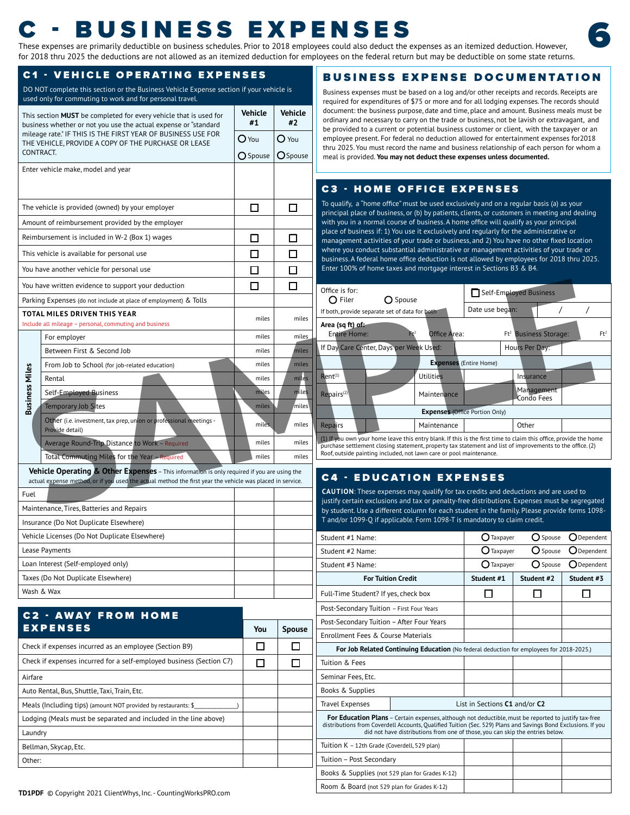# These expenses are primarily deductible on business schedules. Prior to 2018 employees could also deduct the expenses as an itemized deduction. However,  $\frac{1}{2}$

for 2018 thru 2025 the deductions are not allowed as an itemized deduction for employees on the federal return but may be deductible on some state returns.

#### C1 - VEHICLE OPERATING EXPENSES

DO NOT complete this section or the Business Vehicle Expense section if your vehicle is used only for commuting to work and for personal travel.

| This section MUST be completed for every vehicle that is used for                                                               | Vehicle | <b>Vehicle</b>      |
|---------------------------------------------------------------------------------------------------------------------------------|---------|---------------------|
| business whether or not you use the actual expense or "standard<br>mileage rate." IF THIS IS THE FIRST YEAR OF BUSINESS USE FOR | #1      | #2                  |
| THE VEHICLE, PROVIDE A COPY OF THE PURCHASE OR LEASE<br>CONTRACT.                                                               | $O$ You | $\overline{O}$ You  |
|                                                                                                                                 |         | O Spouse   O Spouse |
| Enter vehicle make, model and year                                                                                              |         |                     |
|                                                                                                                                 |         |                     |
| The vehicle is provided (owned) by your employer                                                                                | $\Box$  | $\Box$              |
| Amount of reimbursement provided by the employer                                                                                |         |                     |
| Reimbursement is included in W-2 (Box 1) wages                                                                                  | $\Box$  | $\Box$              |
| This vehicle is available for personal use                                                                                      | $\Box$  | $\Box$              |
| You have another vehicle for personal use                                                                                       | $\Box$  | $\Box$              |
| You have written evidence to support your deduction                                                                             | $\Box$  | $\Box$              |
| Parking Expenses (do not include at place of employment) & Tolls                                                                |         |                     |
| TOTAL MILES DRIVEN THIS YEAR<br>Include all mileage - personal, commuting and business                                          | miles   | miles               |
| For employer                                                                                                                    | miles   | miles               |
| Between First & Second Job                                                                                                      | miles   |                     |
| From Job to School (for job-related education)                                                                                  | miles   | <b>iles</b>         |
| Miles<br>Rental                                                                                                                 | miles   |                     |
| Self-Employed Business                                                                                                          |         | miles               |
| Busir<br><b>Temporary Job Sites</b>                                                                                             | miles   | miles               |
| Other (i.e. investment, tax prep, union or professional meetings -<br>Provide detail)                                           | miles   | miles               |
| Average Round-Trip Distance to Work - Required                                                                                  | miles   | miles               |
| Total Commuting Miles for the Year - Req                                                                                        | miles   | miles               |
| Vehicle Operating & Other Expenses - This information is only required if you are using the                                     |         |                     |
| actual expense method, or if you used the actual method the first year the vehicle was placed in service.                       |         |                     |
| Fuel<br>Maintenance, Tires, Batteries and Repairs                                                                               |         |                     |
| Insurance (Do Not Duplicate Elsewhere)                                                                                          |         |                     |
| Vehicle Licenses (Do Not Duplicate Elsewhere)                                                                                   |         |                     |
| Lease Payments                                                                                                                  |         |                     |
| Loan Interest (Self-emploved only)                                                                                              |         |                     |

| <b>C2 - AWAY FROM HOME</b>                                           |     |               |
|----------------------------------------------------------------------|-----|---------------|
| <b>EXPENSES</b>                                                      | You | <b>Spouse</b> |
| Check if expenses incurred as an employee (Section B9)               |     |               |
| Check if expenses incurred for a self-employed business (Section C7) |     |               |
| Airfare                                                              |     |               |
| Auto Rental, Bus, Shuttle, Taxi, Train, Etc.                         |     |               |
| Meals (Including tips) (amount NOT provided by restaurants: \$       |     |               |
| Lodging (Meals must be separated and included in the line above)     |     |               |
| Laundry                                                              |     |               |
| Bellman, Skycap, Etc.                                                |     |               |
| Other:                                                               |     |               |

## BUSINESS EXPENSE DOCUMENTATION

Business expenses must be based on a log and/or other receipts and records. Receipts are required for expenditures of \$75 or more and for all lodging expenses. The records should document: the business purpose, date and time, place and amount. Business meals must be ordinary and necessary to carry on the trade or business, not be lavish or extravagant, and be provided to a current or potential business customer or client, with the taxpayer or an employee present. For federal no deduction allowed for entertainment expenses for2018 thru 2025. You must record the name and business relationship of each person for whom a meal is provided. **You may not deduct these expenses unless documented.**

### C3 - HOME OFFICE EXPENSES

| Office is for:<br>$\bigcirc$ Filer                                                                                | Spouse (                                                                                                                   | Self-Employed Business        |                                   |            |        |
|-------------------------------------------------------------------------------------------------------------------|----------------------------------------------------------------------------------------------------------------------------|-------------------------------|-----------------------------------|------------|--------|
| If both, provide separate set of data for both                                                                    |                                                                                                                            | Date use began:               |                                   |            |        |
| Area (sq ft) of:<br><b>Entire Home:</b>                                                                           | Et <sup>2</sup><br>Office Area:                                                                                            |                               | Ft <sup>2</sup> Business Storage: |            | $Ft^2$ |
| If Day Care Center, Days per Week Used:                                                                           |                                                                                                                            |                               | Hours Per Day:                    |            |        |
|                                                                                                                   |                                                                                                                            | <b>Expenses</b> (Entire Home) |                                   |            |        |
| $Rent^{(1)}$                                                                                                      | <b>Utilities</b>                                                                                                           |                               | Insurance                         |            |        |
| $Repairs^{(2)}$                                                                                                   | Maintenance                                                                                                                |                               | Condo Fees                        | Management |        |
|                                                                                                                   | <b>Expenses (Office Portion Only)</b>                                                                                      |                               |                                   |            |        |
| Repairs                                                                                                           | Maintenance                                                                                                                |                               | Other                             |            |        |
| (1) If you own your home leave this entry blank. If this is the first time to claim this office, provide the home | to a children and the state of the company of the company of the state of the company of the state of $\sim$ 1980 of 1980. |                               |                                   |            |        |

### C4 - EDUCATION EXPENSES

| Student #1 Name:                                |                                                                                                                                                                                                                                                                                                                | Taxpayer                      | Spouse            | Dependent            |
|-------------------------------------------------|----------------------------------------------------------------------------------------------------------------------------------------------------------------------------------------------------------------------------------------------------------------------------------------------------------------|-------------------------------|-------------------|----------------------|
| Student #2 Name:                                |                                                                                                                                                                                                                                                                                                                | Taxpayer                      | O Spouse          | <b>O</b> Dependent   |
| Student #3 Name:                                |                                                                                                                                                                                                                                                                                                                | Taxpayer                      | $\bigcirc$ Spouse | $\bigcirc$ Dependent |
|                                                 | <b>For Tuition Credit</b>                                                                                                                                                                                                                                                                                      | Student #1                    | Student #2        | Student #3           |
| Full-Time Student? If yes, check box            |                                                                                                                                                                                                                                                                                                                |                               |                   |                      |
| Post-Secondary Tuition - First Four Years       |                                                                                                                                                                                                                                                                                                                |                               |                   |                      |
| Post-Secondary Tuition - After Four Years       |                                                                                                                                                                                                                                                                                                                |                               |                   |                      |
| Enrollment Fees & Course Materials              |                                                                                                                                                                                                                                                                                                                |                               |                   |                      |
|                                                 | <b>For Job Related Continuing Education</b> (No federal deduction for employees for 2018-2025.)                                                                                                                                                                                                                |                               |                   |                      |
| Tuition & Fees                                  |                                                                                                                                                                                                                                                                                                                |                               |                   |                      |
| Seminar Fees, Etc.                              |                                                                                                                                                                                                                                                                                                                |                               |                   |                      |
| Books & Supplies                                |                                                                                                                                                                                                                                                                                                                |                               |                   |                      |
| <b>Travel Expenses</b>                          |                                                                                                                                                                                                                                                                                                                | List in Sections C1 and/or C2 |                   |                      |
|                                                 | <b>For Education Plans</b> – Certain expenses, although not deductible, must be reported to justify tax-free<br>distributions from Coverdell Accounts, Oualified Tuition (Sec. 529) Plans and Savings Bond Exclusions. If you<br>did not have distributions from one of those, you can skip the entries below. |                               |                   |                      |
| Tuition K - 12th Grade (Coverdell, 529 plan)    |                                                                                                                                                                                                                                                                                                                |                               |                   |                      |
| Tuition - Post Secondary                        |                                                                                                                                                                                                                                                                                                                |                               |                   |                      |
| Books & Supplies (not 529 plan for Grades K-12) |                                                                                                                                                                                                                                                                                                                |                               |                   |                      |
| Room & Board (not 529 plan for Grades K-12)     |                                                                                                                                                                                                                                                                                                                |                               |                   |                      |

Taxes (Do Not Duplicate Elsewhere)

Wash & Wax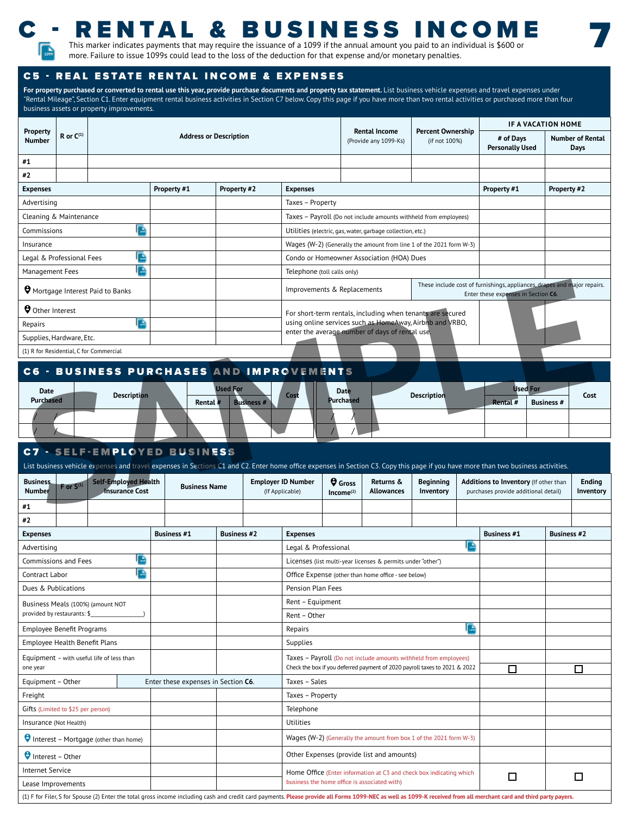

## - RENTAL & BUSINESS INCOM

7

This marker indicates payments that may require the issuance of a 1099 if the annual amount you paid to an individual is \$600 or more. Failure to issue 1099s could lead to the loss of the deduction for that expense and/or monetary penalties. **<sup>1099</sup>**

### C5 - REAL ESTATE RENTAL INCOME & EXPENSES

For property purchased or converted to rental use this year, provide purchase documents and property tax statement. List business vehicle expenses and travel expenses under "Rental Mileage", Section C1. Enter equipment rental business activities in Section C7 below. Copy this page if you have more than two rental activities or purchased more than four business assets or property improvements.

|                                                 |                                         |                                                                     |                                           |                                                                                                                                                                                   | IF A VACATION HOME |                                 |
|-------------------------------------------------|-----------------------------------------|---------------------------------------------------------------------|-------------------------------------------|-----------------------------------------------------------------------------------------------------------------------------------------------------------------------------------|--------------------|---------------------------------|
|                                                 |                                         | <b>Rental Income</b><br>(Provide any 1099-Ks)                       | <b>Percent Ownership</b><br>(if not 100%) | # of Days<br><b>Personally Used</b>                                                                                                                                               |                    | <b>Number of Rental</b><br>Days |
|                                                 |                                         |                                                                     |                                           |                                                                                                                                                                                   |                    |                                 |
|                                                 |                                         |                                                                     |                                           |                                                                                                                                                                                   |                    |                                 |
| <b>Expenses</b>                                 |                                         |                                                                     |                                           | Property #1                                                                                                                                                                       |                    | Property #2                     |
| Taxes - Property                                |                                         |                                                                     |                                           |                                                                                                                                                                                   |                    |                                 |
|                                                 |                                         | Taxes - Payroll (Do not include amounts withheld from employees)    |                                           |                                                                                                                                                                                   |                    |                                 |
|                                                 |                                         | Utilities (electric, gas, water, garbage collection, etc.)          |                                           |                                                                                                                                                                                   |                    |                                 |
|                                                 |                                         | Wages (W-2) (Generally the amount from line 1 of the 2021 form W-3) |                                           |                                                                                                                                                                                   |                    |                                 |
|                                                 |                                         | Condo or Homeowner Association (HOA) Dues                           |                                           |                                                                                                                                                                                   |                    |                                 |
| Telephone (toll calls only)                     |                                         |                                                                     |                                           |                                                                                                                                                                                   |                    |                                 |
| Improvements & Replacements                     |                                         |                                                                     |                                           | These include cost of furnishings, appliances, drapes and major repairs.<br>Enter these expenses in Section C6.                                                                   |                    |                                 |
|                                                 |                                         | For short-term rentals, including when tenants are secured          |                                           |                                                                                                                                                                                   |                    |                                 |
|                                                 |                                         | using online services such as HomeAway, Airbnb and VRBO,            |                                           |                                                                                                                                                                                   |                    |                                 |
|                                                 |                                         | enter the average number of days of rental use.                     |                                           |                                                                                                                                                                                   |                    |                                 |
|                                                 |                                         |                                                                     |                                           |                                                                                                                                                                                   |                    |                                 |
| <b>C6 - BUSINESS PURCHASES AND IMPROVEMENTS</b> |                                         |                                                                     |                                           |                                                                                                                                                                                   |                    |                                 |
|                                                 | <b>Date</b><br>Purchased                |                                                                     | <b>Description</b>                        | Used For<br>Rental $#$                                                                                                                                                            | <b>Business #</b>  | Cost                            |
|                                                 |                                         |                                                                     |                                           |                                                                                                                                                                                   |                    |                                 |
|                                                 |                                         |                                                                     |                                           |                                                                                                                                                                                   |                    |                                 |
|                                                 |                                         |                                                                     |                                           |                                                                                                                                                                                   |                    |                                 |
|                                                 |                                         |                                                                     |                                           | List business vehicle expenses and travel expenses in Sections C1 and C2. Enter home office expenses in Section C3. Copy this page if you have more than two business activities. |                    |                                 |
| <b>Employer ID Number</b><br>(If Applicable)    | <b>Q</b> Gross<br>Income <sup>(2)</sup> | Returns &<br><b>Allowances</b>                                      | Beginning<br>Inventory                    | Additions to Inventory (If other than<br>purchases provide additional detail)                                                                                                     |                    | <b>Ending</b><br>Inventory      |
|                                                 |                                         |                                                                     |                                           |                                                                                                                                                                                   |                    |                                 |

## C6 - BUSINESS PURCHASES AND IMPROVEMENTS

| Date<br><b>Purchased</b> | <b>Description</b> | Rental # | <b>Used For</b><br><b>Business #</b> | Cost | <b>Date</b><br><b>Purchased</b> | <b>Description</b> | <b>Rental #</b> | <b>Used For</b><br><b>Business #</b> | Cost |
|--------------------------|--------------------|----------|--------------------------------------|------|---------------------------------|--------------------|-----------------|--------------------------------------|------|
|                          |                    |          |                                      |      |                                 |                    |                 |                                      |      |
|                          |                    |          |                                      |      |                                 |                    |                 |                                      |      |

### C7 - SELF-EMPLOYED BUSINESS

**Business Rusiness F** or S<sup>(1)</sup> Self-Employed Health **Number Insurance Cost Business Name Employer ID Number** (If Applicable) **Gross Income(2) Returns & Allowances Beginning Inventory Additions to Inventory** (If other than purchases provide additional detail) **Ending Inventory #1 #2 Expenses Business #1 Business #2 Expenses Business #1 Business #2** Advertising and the contract of the contract of the contract of the contract of the contract of the contract of the contract of the contract of the contract of the contract of the contract of the contract of the contract o Commissions and Fees Licenses (list multi-year licenses & permits under "other") Contract Labor Office Expense (other than home office - see below) Dues & Publications **Publications** Pension Plan Fees Business Meals (100%) (amount NOT provided by restaurants: \$\_\_\_\_\_\_\_\_\_\_\_\_\_\_\_\_\_\_\_\_\_) Rent – Equipment Rent – Other Employee Benefit Programs **Repairs Repairs** Repairs Employee Health Benefit Plans Supplies Supplies Equipment – with useful life of less than one year Taxes – Payroll (Do not include amounts withheld from employees) Check the box if you deferred payment of 2020 payroll taxes to 2021 & 2022 Equipment – Other Enter these expenses in Section **C6**. Taxes – Sales Freight **Taxes – Property** Gifts (Limited to \$25 per person) and the set of the set of the set of the set of the Telephone Insurance (Not Health) Utilities **P** Interest – Mortgage (other than home) **Wages (W-2)** Wages (W-2) (Generally the amount from box 1 of the 2021 form W-3) **O** Interest – Other Christian Christian Christian Christian Christian Christian Christian Christian Christian Christian Christian Christian Christian Christian Christian Christian Christian Christian Christian Christian C Internet Service **Home Office (Enter information at C3 and check box indicating which** From the United (Enter information at CS and check box indicating which  $\Box$ Lease Improvements (1) F for Filer, S for Spouse (2) Enter the total gross income including cash and credit card payments. **Please provide all Forms 1099-NEC as well as 1099-K received from all merchant card and third party payers.** List business vehicle expenses and travel expenses in Sections C1 and C2. Enter home office expenses in Section C3. Copy this page if you have more than two business activities. **1099 1099 1099 1099**